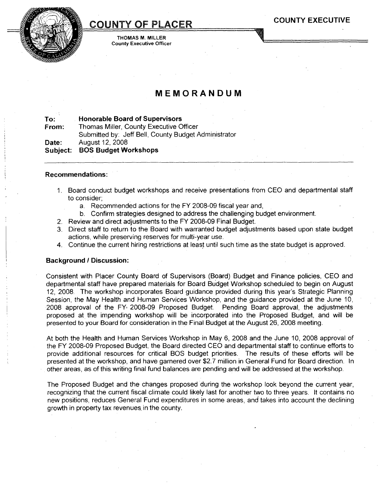# COUNTY OF PLACER

THOMAS M. MILLER County Executive Officer

# **MEMORANDUM**

**To: Honorable Board of Supervisors**

**From: Date: Subject:** Thomas Miller, County Executive Officer Submitted by: Jeff Bell, County Budget Administrator August 12, 2008 **BOS Budget Workshops**

#### **Recommendations:**

- 1. Board conduct budget workshops and receive presentations from CEO and departmental staff to consider;
	- a. Recommended actions for the FY 2008-09 fiscal year and,
	- b. Confirm strategies designed to address the challenging budget environment.
- 2. Review and direct adjustments to the FY 2008-09 Final Budget.
- 3. Direct staff to return to the Board with warranted budget adjustments based upon state budget actions, while preserving reserves for multi-year use.
- 4. Continue the current hiring restrictions at least until such time as the state budget is approved.

#### **Background I Discussion:**

Consistent with Placer County Board of Supervisors (Board) Budget and Finance policies, CEO and departmental staff have prepared materials for Board Budget Workshop scheduled to begin on August 12, 2008. The workshop incorporates Board guidance provided during this year's Strategic Planning Session, the May Health and Human Services Workshop, and the guidance provided at the June 10, 2008 approval of the FY, 2008-09 Proposed Budget. Pending Board approval, the adjustments proposed at the impending workshop will be incorporated into the Proposed Budget, and will be presented to your Board for consideration in the Final Budget at the August 26,2008 meeting.

At both the Health and Human Services Workshop in May 6, 2008 and the June 10, 2008 approval of the FY 2008-09 Proposed Budget, the Board directed CEO and departmental staff to continue efforts to provide additional resources for critical BOS budget priorities. The results of these efforts will be presented at the workshop, and have garnered over \$2.7 million in General Fund for Board direction. In other areas, as of this writing final fund balances are pending and will be addressed at the workshop.

The Proposed Budget and the changes proposed during the workshop look beyond the current year, recognizing that the current fiscal climate could likely last for another two to three years. It contains no new positions, reduces General Fund expenditures in some areas, and takes into account the declining growth in property tax revenues. in the county.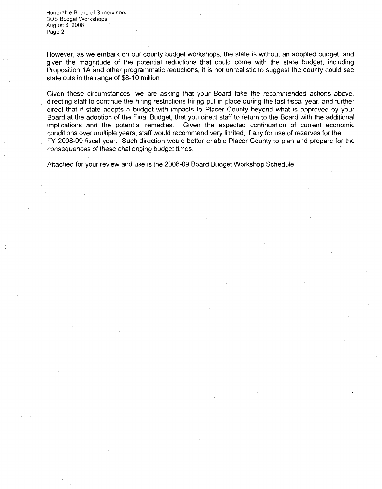Honorable Board of Supervisors BOS Budget Workshops August 6, 2008 Page 2

However, as we embark on our county budget workshops, the state is without an adopted budget, and given the magnitude of the potential reductions that could come with the state budget, including Proposition 1A and other programmatic reductions, it is not unrealistic to suggest the county could see state cuts in the range of \$8-10 million.

Given these circumstances, we are asking that your Board take the recommended actions above, directing staff to continue the hiring restrictions hiring put in place during the last fiscal year, and further direct that if state adopts a budget with impacts to Placer County beyond what is approved by your Board at the adoption of the Final Budget, that you direct staff to return to the Board with the additional implications and the potential remedies. Given the expected continuation of current economic conditions over multiple years, staff would recommend very limited, if any for use ofreserves for the FY-2008-09 fiscal year. Such direction would better enable Placer County to plan and prepare for the consequences of these challenging budget times.

Attached for your review and use is the 2008-09 Board Budget Workshop Schedule.